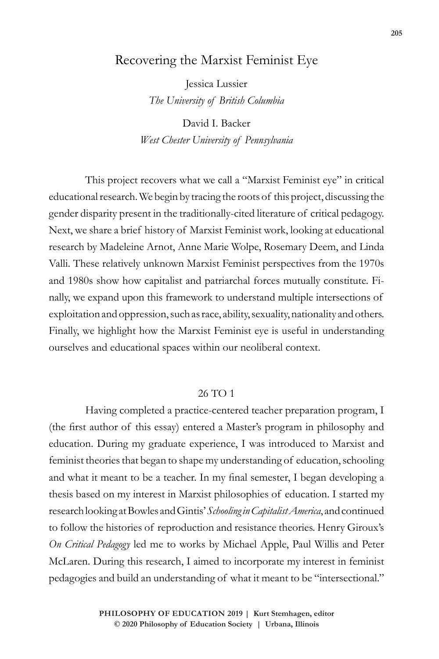## Recovering the Marxist Feminist Eye

Jessica Lussier *The University of British Columbia*

David I. Backer *West Chester University of Pennsylvania*

This project recovers what we call a "Marxist Feminist eye" in critical educational research. We begin by tracing the roots of this project, discussing the gender disparity present in the traditionally-cited literature of critical pedagogy. Next, we share a brief history of Marxist Feminist work, looking at educational research by Madeleine Arnot, Anne Marie Wolpe, Rosemary Deem, and Linda Valli. These relatively unknown Marxist Feminist perspectives from the 1970s and 1980s show how capitalist and patriarchal forces mutually constitute. Finally, we expand upon this framework to understand multiple intersections of exploitation and oppression, such as race, ability, sexuality, nationality and others. Finally, we highlight how the Marxist Feminist eye is useful in understanding ourselves and educational spaces within our neoliberal context.

## 26 TO 1

Having completed a practice-centered teacher preparation program, I (the first author of this essay) entered a Master's program in philosophy and education. During my graduate experience, I was introduced to Marxist and feminist theories that began to shape my understanding of education, schooling and what it meant to be a teacher. In my final semester, I began developing a thesis based on my interest in Marxist philosophies of education. I started my research looking at Bowles and Gintis' *Schooling in Capitalist America*, and continued to follow the histories of reproduction and resistance theories. Henry Giroux's *On Critical Pedagogy* led me to works by Michael Apple, Paul Willis and Peter McLaren. During this research, I aimed to incorporate my interest in feminist pedagogies and build an understanding of what it meant to be "intersectional."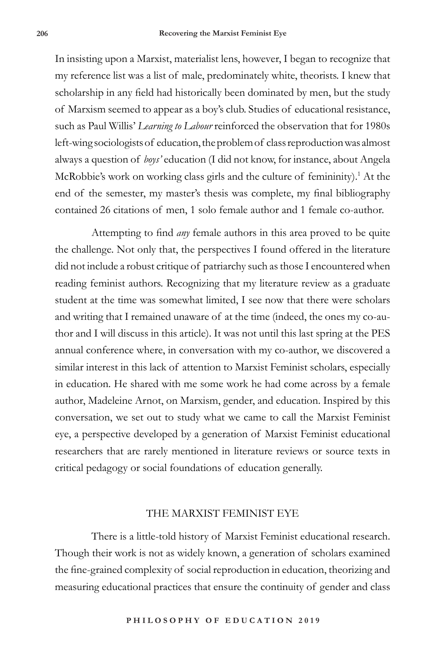In insisting upon a Marxist, materialist lens, however, I began to recognize that my reference list was a list of male, predominately white, theorists. I knew that scholarship in any field had historically been dominated by men, but the study of Marxism seemed to appear as a boy's club. Studies of educational resistance, such as Paul Willis' *Learning to Labour* reinforced the observation that for 1980s left-wing sociologists of education, the problem of class reproduction was almost always a question of *boys'* education (I did not know, for instance, about Angela McRobbie's work on working class girls and the culture of femininity).<sup>1</sup> At the end of the semester, my master's thesis was complete, my final bibliography contained 26 citations of men, 1 solo female author and 1 female co-author.

Attempting to find *any* female authors in this area proved to be quite the challenge. Not only that, the perspectives I found offered in the literature did not include a robust critique of patriarchy such as those I encountered when reading feminist authors. Recognizing that my literature review as a graduate student at the time was somewhat limited, I see now that there were scholars and writing that I remained unaware of at the time (indeed, the ones my co-author and I will discuss in this article). It was not until this last spring at the PES annual conference where, in conversation with my co-author, we discovered a similar interest in this lack of attention to Marxist Feminist scholars, especially in education. He shared with me some work he had come across by a female author, Madeleine Arnot, on Marxism, gender, and education. Inspired by this conversation, we set out to study what we came to call the Marxist Feminist eye, a perspective developed by a generation of Marxist Feminist educational researchers that are rarely mentioned in literature reviews or source texts in critical pedagogy or social foundations of education generally.

## THE MARXIST FEMINIST EYE

There is a little-told history of Marxist Feminist educational research. Though their work is not as widely known, a generation of scholars examined the fine-grained complexity of social reproduction in education, theorizing and measuring educational practices that ensure the continuity of gender and class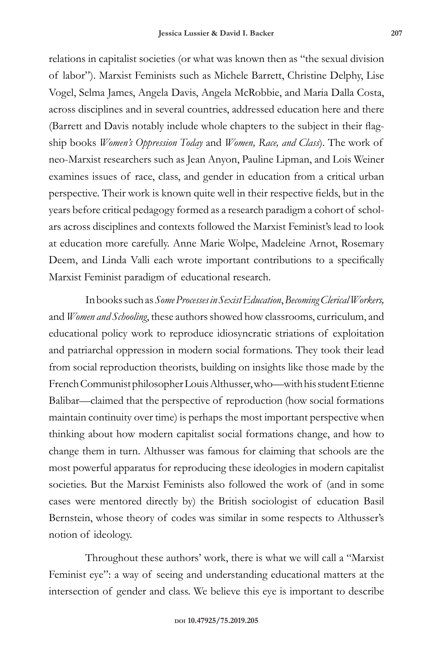relations in capitalist societies (or what was known then as "the sexual division of labor"). Marxist Feminists such as Michele Barrett, Christine Delphy, Lise Vogel, Selma James, Angela Davis, Angela McRobbie, and Maria Dalla Costa, across disciplines and in several countries, addressed education here and there (Barrett and Davis notably include whole chapters to the subject in their flagship books *Women's Oppression Today* and *Women, Race, and Class*). The work of neo-Marxist researchers such as Jean Anyon, Pauline Lipman, and Lois Weiner examines issues of race, class, and gender in education from a critical urban perspective. Their work is known quite well in their respective fields, but in the years before critical pedagogy formed as a research paradigm a cohort of scholars across disciplines and contexts followed the Marxist Feminist's lead to look at education more carefully. Anne Marie Wolpe, Madeleine Arnot, Rosemary Deem, and Linda Valli each wrote important contributions to a specifically Marxist Feminist paradigm of educational research.

In books such as *Some Processes in Sexist Education*, *Becoming Clerical Workers,*  and *Women and Schooling*, these authors showed how classrooms, curriculum, and educational policy work to reproduce idiosyncratic striations of exploitation and patriarchal oppression in modern social formations. They took their lead from social reproduction theorists, building on insights like those made by the French Communist philosopher Louis Althusser, who—with his student Etienne Balibar—claimed that the perspective of reproduction (how social formations maintain continuity over time) is perhaps the most important perspective when thinking about how modern capitalist social formations change, and how to change them in turn. Althusser was famous for claiming that schools are the most powerful apparatus for reproducing these ideologies in modern capitalist societies. But the Marxist Feminists also followed the work of (and in some cases were mentored directly by) the British sociologist of education Basil Bernstein, whose theory of codes was similar in some respects to Althusser's notion of ideology.

Throughout these authors' work, there is what we will call a "Marxist Feminist eye": a way of seeing and understanding educational matters at the intersection of gender and class. We believe this eye is important to describe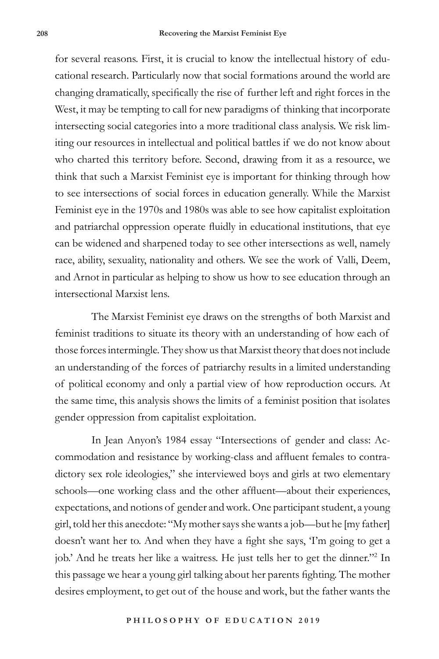for several reasons. First, it is crucial to know the intellectual history of educational research. Particularly now that social formations around the world are changing dramatically, specifically the rise of further left and right forces in the West, it may be tempting to call for new paradigms of thinking that incorporate intersecting social categories into a more traditional class analysis. We risk limiting our resources in intellectual and political battles if we do not know about who charted this territory before. Second, drawing from it as a resource, we think that such a Marxist Feminist eye is important for thinking through how to see intersections of social forces in education generally. While the Marxist Feminist eye in the 1970s and 1980s was able to see how capitalist exploitation and patriarchal oppression operate fluidly in educational institutions, that eye can be widened and sharpened today to see other intersections as well, namely race, ability, sexuality, nationality and others. We see the work of Valli, Deem, and Arnot in particular as helping to show us how to see education through an intersectional Marxist lens.

The Marxist Feminist eye draws on the strengths of both Marxist and feminist traditions to situate its theory with an understanding of how each of those forces intermingle. They show us that Marxist theory that does not include an understanding of the forces of patriarchy results in a limited understanding of political economy and only a partial view of how reproduction occurs. At the same time, this analysis shows the limits of a feminist position that isolates gender oppression from capitalist exploitation.

In Jean Anyon's 1984 essay "Intersections of gender and class: Accommodation and resistance by working-class and affluent females to contradictory sex role ideologies," she interviewed boys and girls at two elementary schools—one working class and the other affluent—about their experiences, expectations, and notions of gender and work. One participant student, a young girl, told her this anecdote: "My mother says she wants a job—but he [my father] doesn't want her to. And when they have a fight she says, 'I'm going to get a job.' And he treats her like a waitress. He just tells her to get the dinner."<sup>2</sup> In this passage we hear a young girl talking about her parents fighting. The mother desires employment, to get out of the house and work, but the father wants the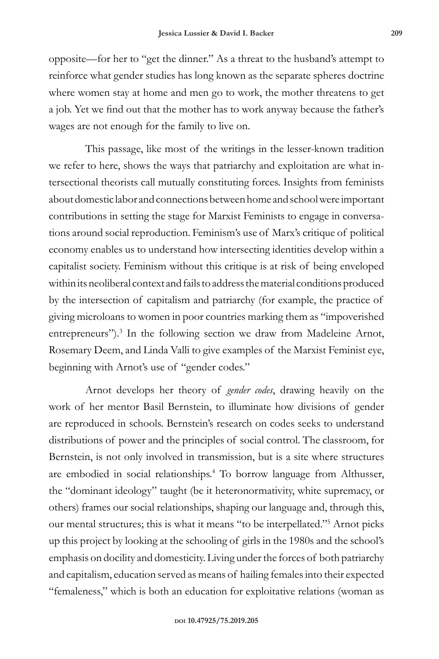opposite—for her to "get the dinner." As a threat to the husband's attempt to reinforce what gender studies has long known as the separate spheres doctrine where women stay at home and men go to work, the mother threatens to get a job. Yet we find out that the mother has to work anyway because the father's wages are not enough for the family to live on.

This passage, like most of the writings in the lesser-known tradition we refer to here, shows the ways that patriarchy and exploitation are what intersectional theorists call mutually constituting forces. Insights from feminists about domestic labor and connections between home and school were important contributions in setting the stage for Marxist Feminists to engage in conversations around social reproduction. Feminism's use of Marx's critique of political economy enables us to understand how intersecting identities develop within a capitalist society. Feminism without this critique is at risk of being enveloped within its neoliberal context and fails to address the material conditions produced by the intersection of capitalism and patriarchy (for example, the practice of giving microloans to women in poor countries marking them as "impoverished entrepreneurs").<sup>3</sup> In the following section we draw from Madeleine Arnot, Rosemary Deem, and Linda Valli to give examples of the Marxist Feminist eye, beginning with Arnot's use of "gender codes."

Arnot develops her theory of *gender codes*, drawing heavily on the work of her mentor Basil Bernstein, to illuminate how divisions of gender are reproduced in schools. Bernstein's research on codes seeks to understand distributions of power and the principles of social control. The classroom, for Bernstein, is not only involved in transmission, but is a site where structures are embodied in social relationships.<sup>4</sup> To borrow language from Althusser, the "dominant ideology" taught (be it heteronormativity, white supremacy, or others) frames our social relationships, shaping our language and, through this, our mental structures; this is what it means "to be interpellated."5 Arnot picks up this project by looking at the schooling of girls in the 1980s and the school's emphasis on docility and domesticity. Living under the forces of both patriarchy and capitalism, education served as means of hailing females into their expected "femaleness," which is both an education for exploitative relations (woman as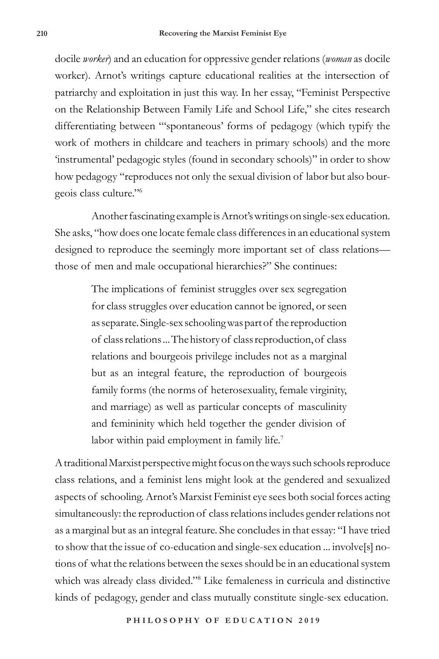docile *worker*) and an education for oppressive gender relations (*woman* as docile worker). Arnot's writings capture educational realities at the intersection of patriarchy and exploitation in just this way. In her essay, "Feminist Perspective on the Relationship Between Family Life and School Life," she cites research differentiating between "'spontaneous' forms of pedagogy (which typify the work of mothers in childcare and teachers in primary schools) and the more 'instrumental' pedagogic styles (found in secondary schools)" in order to show how pedagogy "reproduces not only the sexual division of labor but also bourgeois class culture."6

Another fascinating example is Arnot's writings on single-sex education. She asks, "how does one locate female class differences in an educational system designed to reproduce the seemingly more important set of class relations those of men and male occupational hierarchies?" She continues:

> The implications of feminist struggles over sex segregation for class struggles over education cannot be ignored, or seen as separate. Single-sex schooling was part of the reproduction of class relations ... The history of class reproduction, of class relations and bourgeois privilege includes not as a marginal but as an integral feature, the reproduction of bourgeois family forms (the norms of heterosexuality, female virginity, and marriage) as well as particular concepts of masculinity and femininity which held together the gender division of labor within paid employment in family life.<sup>7</sup>

A traditional Marxist perspective might focus on the ways such schools reproduce class relations, and a feminist lens might look at the gendered and sexualized aspects of schooling. Arnot's Marxist Feminist eye sees both social forces acting simultaneously: the reproduction of class relations includes gender relations not as a marginal but as an integral feature. She concludes in that essay: "I have tried to show that the issue of co-education and single-sex education ... involve[s] notions of what the relations between the sexes should be in an educational system which was already class divided."8 Like femaleness in curricula and distinctive kinds of pedagogy, gender and class mutually constitute single-sex education.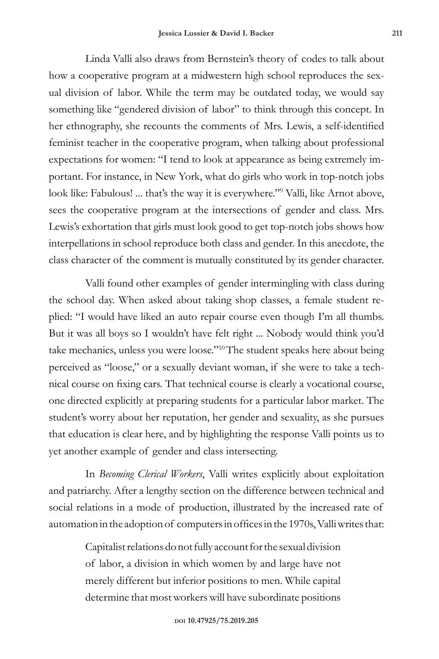Linda Valli also draws from Bernstein's theory of codes to talk about how a cooperative program at a midwestern high school reproduces the sexual division of labor. While the term may be outdated today, we would say something like "gendered division of labor" to think through this concept. In her ethnography, she recounts the comments of Mrs. Lewis, a self-identified feminist teacher in the cooperative program, when talking about professional expectations for women: "I tend to look at appearance as being extremely important. For instance, in New York, what do girls who work in top-notch jobs look like: Fabulous! ... that's the way it is everywhere."<sup>9</sup> Valli, like Arnot above, sees the cooperative program at the intersections of gender and class. Mrs. Lewis's exhortation that girls must look good to get top-notch jobs shows how interpellations in school reproduce both class and gender. In this anecdote, the class character of the comment is mutually constituted by its gender character.

Valli found other examples of gender intermingling with class during the school day. When asked about taking shop classes, a female student replied: "I would have liked an auto repair course even though I'm all thumbs. But it was all boys so I wouldn't have felt right ... Nobody would think you'd take mechanics, unless you were loose."10The student speaks here about being perceived as "loose," or a sexually deviant woman, if she were to take a technical course on fixing cars. That technical course is clearly a vocational course, one directed explicitly at preparing students for a particular labor market. The student's worry about her reputation, her gender and sexuality, as she pursues that education is clear here, and by highlighting the response Valli points us to yet another example of gender and class intersecting.

In *Becoming Clerical Workers*, Valli writes explicitly about exploitation and patriarchy. After a lengthy section on the difference between technical and social relations in a mode of production, illustrated by the increased rate of automation in the adoption of computers in offices in the 1970s, Valli writes that:

> Capitalist relations do not fully account for the sexual division of labor, a division in which women by and large have not merely different but inferior positions to men. While capital determine that most workers will have subordinate positions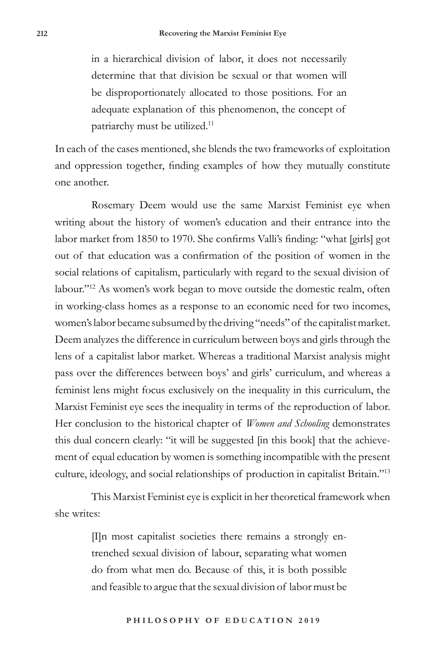in a hierarchical division of labor, it does not necessarily determine that that division be sexual or that women will be disproportionately allocated to those positions. For an adequate explanation of this phenomenon, the concept of patriarchy must be utilized.<sup>11</sup>

In each of the cases mentioned, she blends the two frameworks of exploitation and oppression together, finding examples of how they mutually constitute one another.

Rosemary Deem would use the same Marxist Feminist eye when writing about the history of women's education and their entrance into the labor market from 1850 to 1970. She confirms Valli's finding: "what [girls] got out of that education was a confirmation of the position of women in the social relations of capitalism, particularly with regard to the sexual division of labour."<sup>12</sup> As women's work began to move outside the domestic realm, often in working-class homes as a response to an economic need for two incomes, women's labor became subsumed by the driving "needs" of the capitalist market. Deem analyzes the difference in curriculum between boys and girls through the lens of a capitalist labor market. Whereas a traditional Marxist analysis might pass over the differences between boys' and girls' curriculum, and whereas a feminist lens might focus exclusively on the inequality in this curriculum, the Marxist Feminist eye sees the inequality in terms of the reproduction of labor. Her conclusion to the historical chapter of *Women and Schooling* demonstrates this dual concern clearly: "it will be suggested [in this book] that the achievement of equal education by women is something incompatible with the present culture, ideology, and social relationships of production in capitalist Britain."13

This Marxist Feminist eye is explicit in her theoretical framework when she writes:

> [I]n most capitalist societies there remains a strongly entrenched sexual division of labour, separating what women do from what men do. Because of this, it is both possible and feasible to argue that the sexual division of labor must be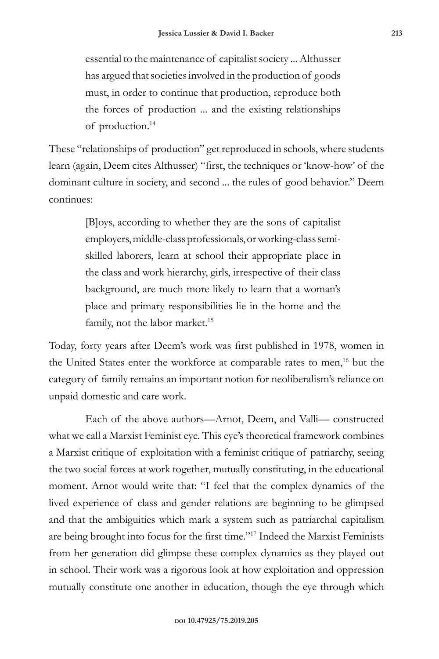essential to the maintenance of capitalist society ... Althusser has argued that societies involved in the production of goods must, in order to continue that production, reproduce both the forces of production ... and the existing relationships of production.<sup>14</sup>

These "relationships of production" get reproduced in schools, where students learn (again, Deem cites Althusser) "first, the techniques or 'know-how' of the dominant culture in society, and second ... the rules of good behavior." Deem continues:

> [B]oys, according to whether they are the sons of capitalist employers, middle-class professionals, or working-class semiskilled laborers, learn at school their appropriate place in the class and work hierarchy, girls, irrespective of their class background, are much more likely to learn that a woman's place and primary responsibilities lie in the home and the family, not the labor market.<sup>15</sup>

Today, forty years after Deem's work was first published in 1978, women in the United States enter the workforce at comparable rates to men,<sup>16</sup> but the category of family remains an important notion for neoliberalism's reliance on unpaid domestic and care work.

Each of the above authors—Arnot, Deem, and Valli— constructed what we call a Marxist Feminist eye. This eye's theoretical framework combines a Marxist critique of exploitation with a feminist critique of patriarchy, seeing the two social forces at work together, mutually constituting, in the educational moment. Arnot would write that: "I feel that the complex dynamics of the lived experience of class and gender relations are beginning to be glimpsed and that the ambiguities which mark a system such as patriarchal capitalism are being brought into focus for the first time."17 Indeed the Marxist Feminists from her generation did glimpse these complex dynamics as they played out in school. Their work was a rigorous look at how exploitation and oppression mutually constitute one another in education, though the eye through which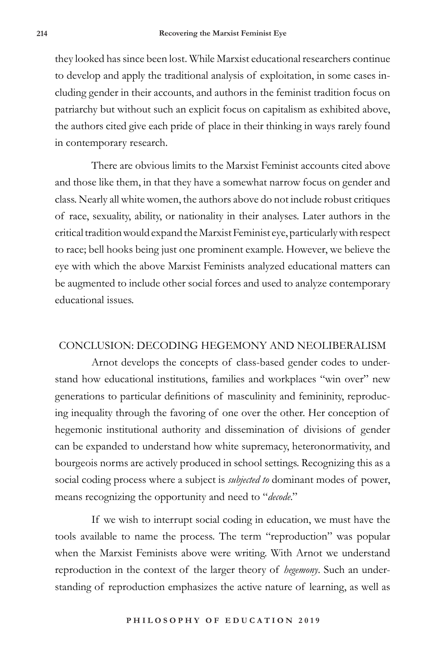they looked has since been lost. While Marxist educational researchers continue to develop and apply the traditional analysis of exploitation, in some cases including gender in their accounts, and authors in the feminist tradition focus on patriarchy but without such an explicit focus on capitalism as exhibited above, the authors cited give each pride of place in their thinking in ways rarely found in contemporary research.

There are obvious limits to the Marxist Feminist accounts cited above and those like them, in that they have a somewhat narrow focus on gender and class. Nearly all white women, the authors above do not include robust critiques of race, sexuality, ability, or nationality in their analyses. Later authors in the critical tradition would expand the Marxist Feminist eye, particularly with respect to race; bell hooks being just one prominent example. However, we believe the eye with which the above Marxist Feminists analyzed educational matters can be augmented to include other social forces and used to analyze contemporary educational issues.

## CONCLUSION: DECODING HEGEMONY AND NEOLIBERALISM

Arnot develops the concepts of class-based gender codes to understand how educational institutions, families and workplaces "win over" new generations to particular definitions of masculinity and femininity, reproducing inequality through the favoring of one over the other. Her conception of hegemonic institutional authority and dissemination of divisions of gender can be expanded to understand how white supremacy, heteronormativity, and bourgeois norms are actively produced in school settings. Recognizing this as a social coding process where a subject is *subjected to* dominant modes of power, means recognizing the opportunity and need to "*decode*."

If we wish to interrupt social coding in education, we must have the tools available to name the process. The term "reproduction" was popular when the Marxist Feminists above were writing. With Arnot we understand reproduction in the context of the larger theory of *hegemony*. Such an understanding of reproduction emphasizes the active nature of learning, as well as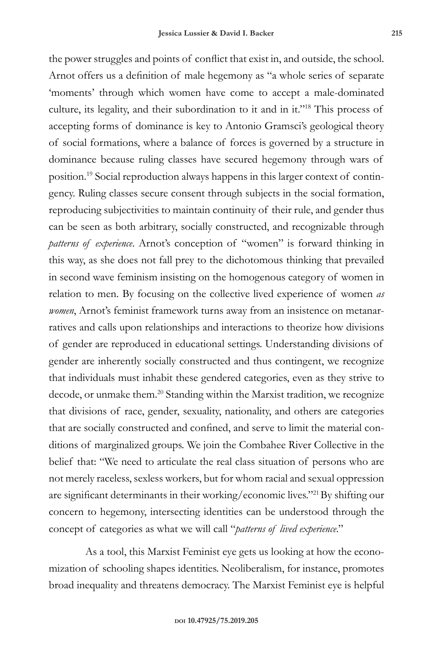the power struggles and points of conflict that exist in, and outside, the school. Arnot offers us a definition of male hegemony as "a whole series of separate 'moments' through which women have come to accept a male-dominated culture, its legality, and their subordination to it and in it."18 This process of accepting forms of dominance is key to Antonio Gramsci's geological theory of social formations, where a balance of forces is governed by a structure in dominance because ruling classes have secured hegemony through wars of position.19 Social reproduction always happens in this larger context of contingency. Ruling classes secure consent through subjects in the social formation, reproducing subjectivities to maintain continuity of their rule, and gender thus can be seen as both arbitrary, socially constructed, and recognizable through *patterns of experience*. Arnot's conception of "women" is forward thinking in this way, as she does not fall prey to the dichotomous thinking that prevailed in second wave feminism insisting on the homogenous category of women in relation to men. By focusing on the collective lived experience of women *as women*, Arnot's feminist framework turns away from an insistence on metanarratives and calls upon relationships and interactions to theorize how divisions of gender are reproduced in educational settings. Understanding divisions of gender are inherently socially constructed and thus contingent, we recognize that individuals must inhabit these gendered categories, even as they strive to decode, or unmake them.<sup>20</sup> Standing within the Marxist tradition, we recognize that divisions of race, gender, sexuality, nationality, and others are categories that are socially constructed and confined, and serve to limit the material conditions of marginalized groups. We join the Combahee River Collective in the belief that: "We need to articulate the real class situation of persons who are not merely raceless, sexless workers, but for whom racial and sexual oppression are significant determinants in their working/economic lives."<sup>21</sup>By shifting our concern to hegemony, intersecting identities can be understood through the concept of categories as what we will call "*patterns of lived experience*."

As a tool, this Marxist Feminist eye gets us looking at how the economization of schooling shapes identities. Neoliberalism, for instance, promotes broad inequality and threatens democracy. The Marxist Feminist eye is helpful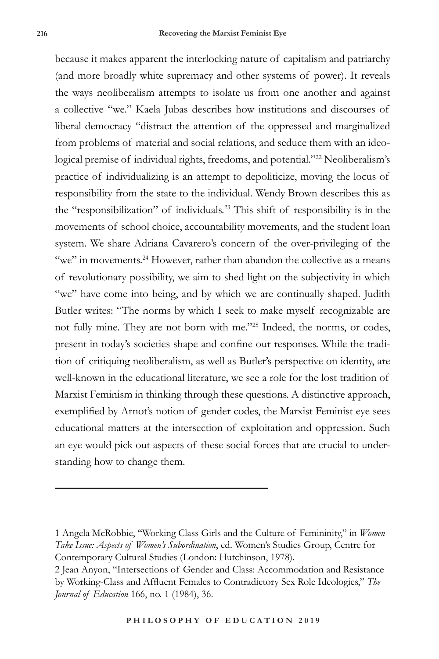because it makes apparent the interlocking nature of capitalism and patriarchy (and more broadly white supremacy and other systems of power). It reveals the ways neoliberalism attempts to isolate us from one another and against a collective "we." Kaela Jubas describes how institutions and discourses of liberal democracy "distract the attention of the oppressed and marginalized from problems of material and social relations, and seduce them with an ideological premise of individual rights, freedoms, and potential."<sup>22</sup> Neoliberalism's practice of individualizing is an attempt to depoliticize, moving the locus of responsibility from the state to the individual. Wendy Brown describes this as the "responsibilization" of individuals.23 This shift of responsibility is in the movements of school choice, accountability movements, and the student loan system. We share Adriana Cavarero's concern of the over-privileging of the "we" in movements.<sup>24</sup> However, rather than abandon the collective as a means of revolutionary possibility, we aim to shed light on the subjectivity in which "we" have come into being, and by which we are continually shaped. Judith Butler writes: "The norms by which I seek to make myself recognizable are not fully mine. They are not born with me."25 Indeed, the norms, or codes, present in today's societies shape and confine our responses. While the tradition of critiquing neoliberalism, as well as Butler's perspective on identity, are well-known in the educational literature, we see a role for the lost tradition of Marxist Feminism in thinking through these questions. A distinctive approach, exemplified by Arnot's notion of gender codes, the Marxist Feminist eye sees educational matters at the intersection of exploitation and oppression. Such an eye would pick out aspects of these social forces that are crucial to understanding how to change them.

<sup>1</sup> Angela McRobbie, "Working Class Girls and the Culture of Femininity," in *Women Take Issue: Aspects of Women's Subordination*, ed. Women's Studies Group, Centre for Contemporary Cultural Studies (London: Hutchinson, 1978).

<sup>2</sup> Jean Anyon, "Intersections of Gender and Class: Accommodation and Resistance by Working-Class and Affluent Females to Contradictory Sex Role Ideologies," *The Journal of Education* 166, no. 1 (1984), 36.